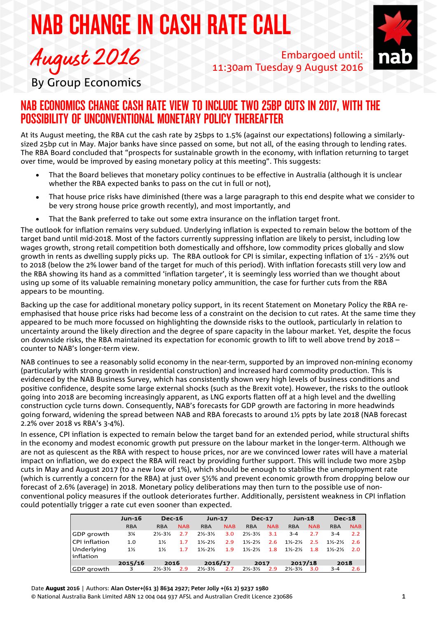# NAB CHANGE IN CASH RATE CALL



Embargoed until: 11:30am Tuesday 9 August 2016



By Group Economics

# NAB ECONOMICS CHANGE CASH RATE VIEW TO INCLUDE TWO 25BP CUTS IN 2017, WITH THE POSSIBILITY OF UNCONVENTIONAL MONETARY POLICY THEREAFTER

At its August meeting, the RBA cut the cash rate by 25bps to 1.5% (against our expectations) following a similarlysized 25bp cut in May. Major banks have since passed on some, but not all, of the easing through to lending rates. The RBA Board concluded that "prospects for sustainable growth in the economy, with inflation returning to target over time, would be improved by easing monetary policy at this meeting". This suggests:

- That the Board believes that monetary policy continues to be effective in Australia (although it is unclear whether the RBA expected banks to pass on the cut in full or not),
- That house price risks have diminished (there was a large paragraph to this end despite what we consider to be very strong house price growth recently), and most importantly, and
- That the Bank preferred to take out some extra insurance on the inflation target front.

The outlook for inflation remains very subdued. Underlying inflation is expected to remain below the bottom of the target band until mid-2018. Most of the factors currently suppressing inflation are likely to persist, including low wages growth, strong retail competition both domestically and offshore, low commodity prices globally and slow growth in rents as dwelling supply picks up. The RBA outlook for CPI is similar, expecting inflation of 1½ - 2½% out to 2018 (below the 2% lower band of the target for much of this period). With inflation forecasts still very low and the RBA showing its hand as a committed 'inflation targeter', it is seemingly less worried than we thought about using up some of its valuable remaining monetary policy ammunition, the case for further cuts from the RBA appears to be mounting.

Backing up the case for additional monetary policy support, in its recent Statement on Monetary Policy the RBA reemphasised that house price risks had become less of a constraint on the decision to cut rates. At the same time they appeared to be much more focussed on highlighting the downside risks to the outlook, particularly in relation to uncertainty around the likely direction and the degree of spare capacity in the labour market. Yet, despite the focus on downside risks, the RBA maintained its expectation for economic growth to lift to well above trend by 2018 – counter to NAB's longer-term view.

NAB continues to see a reasonably solid economy in the near-term, supported by an improved non-mining economy (particularly with strong growth in residential construction) and increased hard commodity production. This is evidenced by the NAB Business Survey, which has consistently shown very high levels of business conditions and positive confidence, despite some large external shocks (such as the Brexit vote). However, the risks to the outlook going into 2018 are becoming increasingly apparent, as LNG exports flatten off at a high level and the dwelling construction cycle turns down. Consequently, NAB's forecasts for GDP growth are factoring in more headwinds going forward, widening the spread between NAB and RBA forecasts to around 1½ ppts by late 2018 (NAB forecast 2.2% over 2018 vs RBA's 3-4%).

In essence, CPI inflation is expected to remain below the target band for an extended period, while structural shifts in the economy and modest economic growth put pressure on the labour market in the longer-term. Although we are not as quiescent as the RBA with respect to house prices, nor are we convinced lower rates will have a material impact on inflation, we do expect the RBA will react by providing further support. This will include two more 25bp cuts in May and August 2017 (to a new low of 1%), which should be enough to stabilise the unemployment rate (which is currently a concern for the RBA) at just over 5½% and prevent economic growth from dropping below our forecast of 2.6% (average) in 2018. Monetary policy deliberations may then turn to the possible use of nonconventional policy measures if the outlook deteriorates further. Additionally, persistent weakness in CPI inflation could potentially trigger a rate cut even sooner than expected.

|                 | <b>Jun-16</b>  | <b>Dec-16</b>                 |            | <b>Jun-17</b>                 |            | <b>Dec-17</b>                 |            | <b>Jun-18</b>                 |            | <b>Dec-18</b>                 |            |
|-----------------|----------------|-------------------------------|------------|-------------------------------|------------|-------------------------------|------------|-------------------------------|------------|-------------------------------|------------|
|                 | <b>RBA</b>     | <b>RBA</b>                    | <b>NAB</b> | <b>RBA</b>                    | <b>NAB</b> | <b>RBA</b>                    | <b>NAB</b> | <b>RBA</b>                    | <b>NAB</b> | <b>RBA</b>                    | <b>NAB</b> |
| GDP growth      | $3\frac{1}{4}$ | $2\frac{1}{2} - 3\frac{1}{2}$ | 2.7        | $2\frac{1}{2} - 3\frac{1}{2}$ | 3.0        | $2\frac{1}{2}$ -3½            | 3.1        | $3 - 4$                       | 2.7        | $3 - 4$                       | 2.2        |
| l CPI inflation | 1.0            | $1\%$                         | 1.7        | $1\frac{1}{2} - 2\frac{1}{2}$ | 2.9        | $1\frac{1}{2} - 2\frac{1}{2}$ | 2.6        | $1\frac{1}{2} - 2\frac{1}{2}$ | 2.5        | $1\frac{1}{2} - 2\frac{1}{2}$ | -2.6       |
| Underlying      | $1\frac{1}{2}$ | $1\frac{1}{2}$                | 1.7        | $1\frac{1}{2} - 2\frac{1}{2}$ | 1.9        | $1\frac{1}{2} - 2\frac{1}{2}$ | 1.8        | $1\frac{1}{2} - 2\frac{1}{2}$ | 1.8        | $1\frac{1}{2} - 2\frac{1}{2}$ | 2.0        |
| linflation      |                |                               |            |                               |            |                               |            |                               |            |                               |            |
|                 | 2015/16        | 2016                          |            | 2016/17                       |            | 2017                          |            | 2017/18                       |            | 2018                          |            |
| GDP growth      | 3              | $2\frac{1}{2} - 3\frac{1}{2}$ | 2.9        | $2\frac{1}{2} - 3\frac{1}{2}$ | 2.7        | $2\frac{1}{2}$ -3½            | 2.9        | $2\frac{1}{2} - 3\frac{1}{2}$ | 3.0        | $3 - 4$                       | 2.6        |